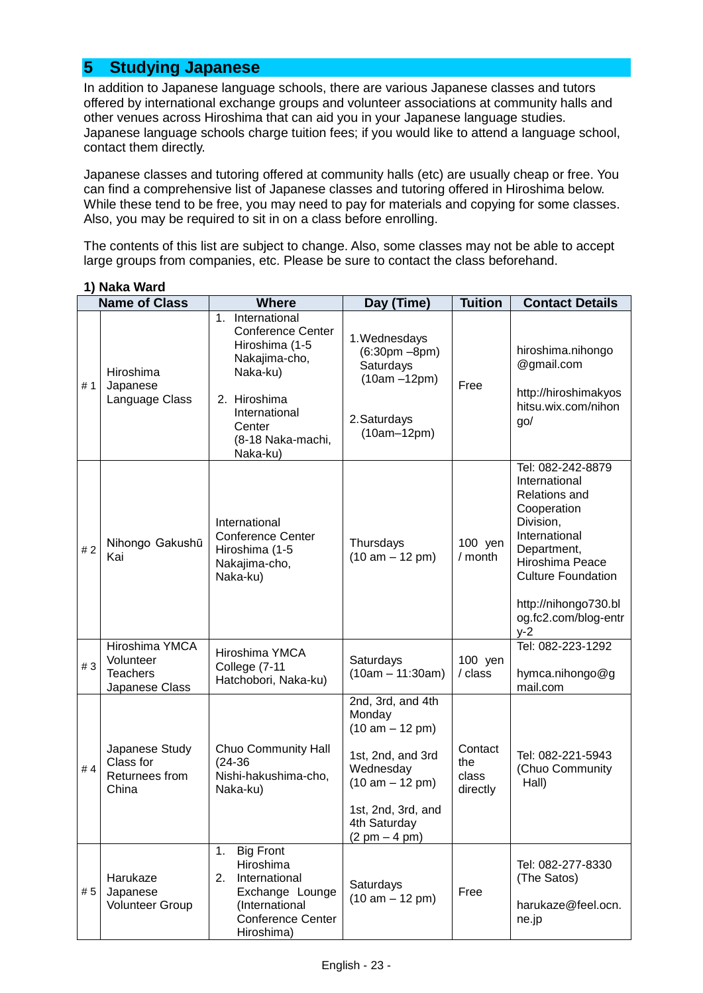# **5 Studying Japanese**

In addition to Japanese language schools, there are various Japanese classes and tutors offered by international exchange groups and volunteer associations at community halls and other venues across Hiroshima that can aid you in your Japanese language studies. Japanese language schools charge tuition fees; if you would like to attend a language school, contact them directly.

Japanese classes and tutoring offered at community halls (etc) are usually cheap or free. You can find a comprehensive list of Japanese classes and tutoring offered in Hiroshima below. While these tend to be free, you may need to pay for materials and copying for some classes. Also, you may be required to sit in on a class before enrolling.

The contents of this list are subject to change. Also, some classes may not be able to accept large groups from companies, etc. Please be sure to contact the class beforehand.

|     | <b>Name of Class</b>                                             | <b>Where</b>                                                                                                                                                                        | Day (Time)                                                                                                                                                       | <b>Tuition</b>                      | <b>Contact Details</b>                                                                                                                                                                                                          |
|-----|------------------------------------------------------------------|-------------------------------------------------------------------------------------------------------------------------------------------------------------------------------------|------------------------------------------------------------------------------------------------------------------------------------------------------------------|-------------------------------------|---------------------------------------------------------------------------------------------------------------------------------------------------------------------------------------------------------------------------------|
| #1  | Hiroshima<br>Japanese<br>Language Class                          | International<br>$1_{\cdot}$<br><b>Conference Center</b><br>Hiroshima (1-5<br>Nakajima-cho,<br>Naka-ku)<br>2. Hiroshima<br>International<br>Center<br>(8-18 Naka-machi,<br>Naka-ku) | 1. Wednesdays<br>$(6:30pm - 8pm)$<br>Saturdays<br>$(10am - 12pm)$<br>2. Saturdays<br>$(10am-12pm)$                                                               | Free                                | hiroshima.nihongo<br>@gmail.com<br>http://hiroshimakyos<br>hitsu.wix.com/nihon<br>go/                                                                                                                                           |
| #2  | Nihongo Gakushū<br>Kai                                           | International<br><b>Conference Center</b><br>Hiroshima (1-5<br>Nakajima-cho,<br>Naka-ku)                                                                                            | Thursdays<br>$(10 am - 12 pm)$                                                                                                                                   | 100 yen<br>/ month                  | Tel: 082-242-8879<br>International<br><b>Relations and</b><br>Cooperation<br>Division,<br>International<br>Department,<br>Hiroshima Peace<br><b>Culture Foundation</b><br>http://nihongo730.bl<br>og.fc2.com/blog-entr<br>$y-2$ |
| #3  | Hiroshima YMCA<br>Volunteer<br><b>Teachers</b><br>Japanese Class | Hiroshima YMCA<br>College (7-11<br>Hatchobori, Naka-ku)                                                                                                                             | Saturdays<br>$(10am - 11:30am)$                                                                                                                                  | 100 yen<br>/ class                  | Tel: 082-223-1292<br>hymca.nihongo@g<br>mail.com                                                                                                                                                                                |
| #4  | Japanese Study<br>Class for<br>Returnees from<br>China           | Chuo Community Hall<br>$(24-36)$<br>Nishi-hakushima-cho,<br>Naka-ku)                                                                                                                | 2nd, 3rd, and 4th<br>Monday<br>$(10 am - 12 pm)$<br>1st, 2nd, and 3rd<br>Wednesday<br>$(10 am - 12 pm)$<br>1st, 2nd, 3rd, and<br>4th Saturday<br>$(2 pm - 4 pm)$ | Contact<br>the<br>class<br>directly | Tel: 082-221-5943<br>(Chuo Community<br>Hall)                                                                                                                                                                                   |
| # 5 | Harukaze<br>Japanese<br><b>Volunteer Group</b>                   | <b>Big Front</b><br>1.<br>Hiroshima<br>International<br>2.<br>Exchange Lounge<br>(International<br><b>Conference Center</b><br>Hiroshima)                                           | Saturdays<br>$(10 am - 12 pm)$                                                                                                                                   | Free                                | Tel: 082-277-8330<br>(The Satos)<br>harukaze@feel.ocn.<br>ne.jp                                                                                                                                                                 |

#### **1) Naka Ward**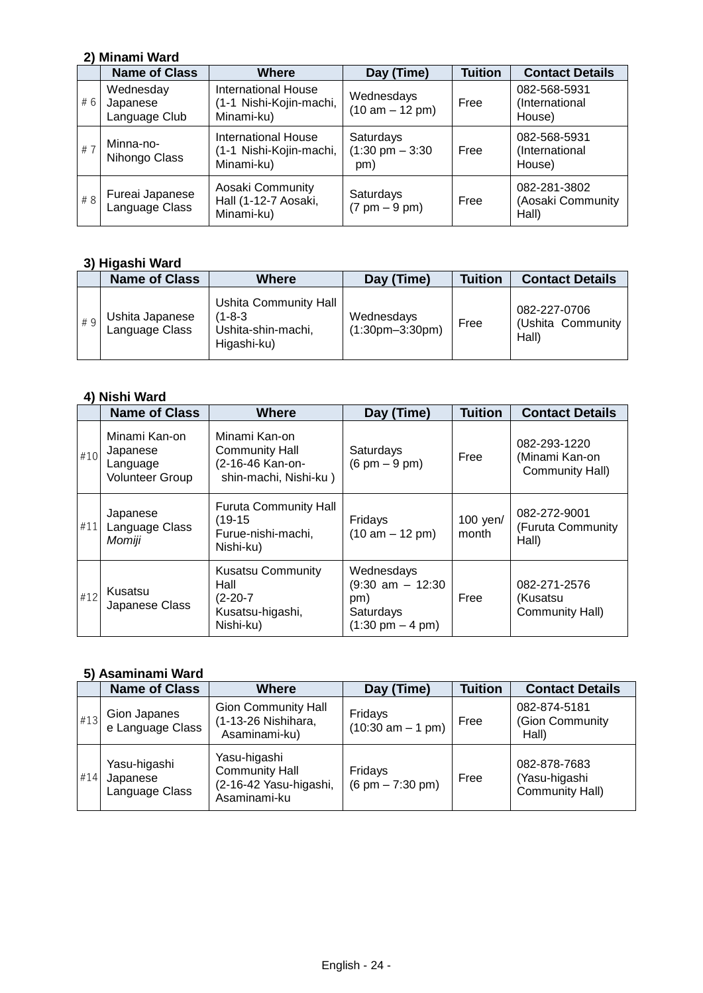### **2) Minami Ward**

|     | <b>Name of Class</b>                   | <b>Where</b>                                                        | Day (Time)                                     | <b>Tuition</b> | <b>Contact Details</b>                     |
|-----|----------------------------------------|---------------------------------------------------------------------|------------------------------------------------|----------------|--------------------------------------------|
| #6  | Wednesday<br>Japanese<br>Language Club | <b>International House</b><br>(1-1 Nishi-Kojin-machi,<br>Minami-ku) | Wednesdays<br>$(10 am - 12 pm)$                | Free           | 082-568-5931<br>(International<br>House)   |
| # 7 | Minna-no-<br>Nihongo Class             | <b>International House</b><br>(1-1 Nishi-Kojin-machi,<br>Minami-ku) | Saturdays<br>$(1:30 \text{ pm} - 3:30)$<br>pm) | Free           | 082-568-5931<br>(International<br>House)   |
| # 8 | Fureai Japanese<br>Language Class      | Aosaki Community<br>Hall (1-12-7 Aosaki,<br>Minami-ku)              | Saturdays<br>$(7 \text{ pm} - 9 \text{ pm})$   | Free           | 082-281-3802<br>(Aosaki Community<br>Hall) |

#### **3) Higashi Ward**

|    | <b>Name of Class</b>              | Where                                                                       | Day (Time)                      | <b>Tuition</b> | <b>Contact Details</b>                     |
|----|-----------------------------------|-----------------------------------------------------------------------------|---------------------------------|----------------|--------------------------------------------|
| #9 | Ushita Japanese<br>Language Class | <b>Ushita Community Hall</b><br>(1-8-3<br>Ushita-shin-machi,<br>Higashi-ku) | Wednesdays<br>$(1:30pm-3:30pm)$ | Free           | 082-227-0706<br>(Ushita Community<br>Hall) |

## **4) Nishi Ward**

|     | <b>Name of Class</b>                                            | Where                                                                               | Day (Time)                                                                                   | <b>Tuition</b>    | <b>Contact Details</b>                            |
|-----|-----------------------------------------------------------------|-------------------------------------------------------------------------------------|----------------------------------------------------------------------------------------------|-------------------|---------------------------------------------------|
| #10 | Minami Kan-on<br>Japanese<br>Language<br><b>Volunteer Group</b> | Minami Kan-on<br>Community Hall<br>(2-16-46 Kan-on-<br>shin-machi, Nishi-ku)        | Saturdays<br>$(6 \text{ pm} - 9 \text{ pm})$                                                 | Free              | 082-293-1220<br>(Minami Kan-on<br>Community Hall) |
| #11 | Japanese<br>Language Class<br>Momiji                            | <b>Furuta Community Hall</b><br>$(19-15)$<br>Furue-nishi-machi,<br>Nishi-ku)        | Fridays<br>$(10 am - 12 pm)$                                                                 | 100 yen/<br>month | 082-272-9001<br>(Furuta Community<br>Hall)        |
| #12 | Kusatsu<br>Japanese Class                                       | <b>Kusatsu Community</b><br>Hall<br>$(2 - 20 - 7)$<br>Kusatsu-higashi,<br>Nishi-ku) | Wednesdays<br>$(9:30$ am $- 12:30$<br>pm)<br>Saturdays<br>$(1:30 \text{ pm} - 4 \text{ pm})$ | Free              | 082-271-2576<br>(Kusatsu<br>Community Hall)       |

### **5) Asaminami Ward**

|     | <b>Name of Class</b>                       | <b>Where</b>                                                                    | Day (Time)                                     | <b>Tuition</b> | <b>Contact Details</b>                           |
|-----|--------------------------------------------|---------------------------------------------------------------------------------|------------------------------------------------|----------------|--------------------------------------------------|
| #13 | Gion Japanes<br>e Language Class           | <b>Gion Community Hall</b><br>(1-13-26 Nishihara,<br>Asaminami-ku)              | Fridays<br>$(10:30 \text{ am} - 1 \text{ pm})$ | Free           | 082-874-5181<br>(Gion Community<br>Hall)         |
| #14 | Yasu-higashi<br>Japanese<br>Language Class | Yasu-higashi<br><b>Community Hall</b><br>(2-16-42 Yasu-higashi,<br>Asaminami-ku | Fridays<br>$(6 \text{ pm} - 7:30 \text{ pm})$  | Free           | 082-878-7683<br>(Yasu-higashi<br>Community Hall) |